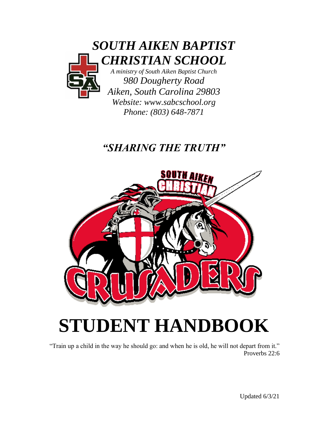

*Phone: (803) 648-7871*

# *"SHARING THE TRUTH"*



# **STUDENT HANDBOOK**

"Train up a child in the way he should go: and when he is old, he will not depart from it." Proverbs 22:6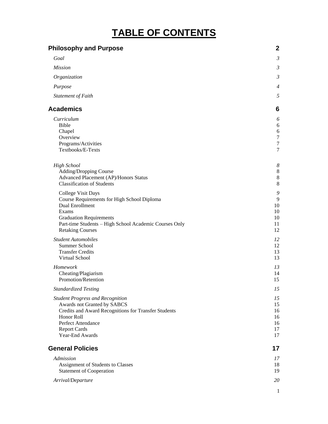# **TABLE OF CONTENTS**

| <b>Philosophy and Purpose</b>                                                     | $\mathbf{2}$          |
|-----------------------------------------------------------------------------------|-----------------------|
| Goal                                                                              | $\mathfrak{Z}$        |
| <b>Mission</b>                                                                    | $\mathfrak{Z}$        |
| Organization                                                                      | $\mathfrak{Z}$        |
| Purpose                                                                           | $\overline{4}$        |
| Statement of Faith                                                                | 5                     |
| <b>Academics</b>                                                                  | 6                     |
| Curriculum                                                                        | 6                     |
| <b>Bible</b>                                                                      | 6                     |
| Chapel<br>Overview                                                                | 6<br>$\boldsymbol{7}$ |
| Programs/Activities                                                               | $\tau$                |
| Textbooks/E-Texts                                                                 | 7                     |
| <b>High School</b>                                                                | $\boldsymbol{8}$      |
| Adding/Dropping Course                                                            | $\,8\,$               |
| Advanced Placement (AP)/Honors Status                                             | $\,8\,$               |
| <b>Classification of Students</b>                                                 | $8\,$                 |
| College Visit Days<br>Course Requirements for High School Diploma                 | 9<br>9                |
| Dual Enrollment                                                                   | 10                    |
| Exams                                                                             | 10                    |
| <b>Graduation Requirements</b>                                                    | 10                    |
| Part-time Students - High School Academic Courses Only<br><b>Retaking Courses</b> | 11<br>12              |
| <b>Student Automobiles</b>                                                        | 12                    |
| Summer School                                                                     | 12                    |
| <b>Transfer Credits</b>                                                           | 13                    |
| Virtual School                                                                    | 13                    |
| Homework                                                                          | 13                    |
| Cheating/Plagiarism                                                               | 14                    |
| Promotion/Retention                                                               | 15                    |
| <b>Standardized Testing</b>                                                       | 15                    |
| <b>Student Progress and Recognition</b>                                           | 15                    |
| Awards not Granted by SABCS                                                       | 15                    |
| Credits and Award Recognitions for Transfer Students<br>Honor Roll                | 16<br>16              |
| Perfect Attendance                                                                | 16                    |
| <b>Report Cards</b>                                                               | 17                    |
| Year-End Awards                                                                   | 17                    |
| <b>General Policies</b>                                                           | 17                    |
| Admission                                                                         | 17                    |
| Assignment of Students to Classes                                                 | 18                    |
| <b>Statement of Cooperation</b>                                                   | 19                    |
| Arrival/Departure                                                                 | 20                    |

1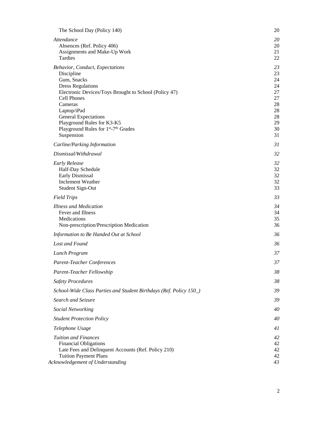| The School Day (Policy 140)                                                                                                                                                                                                                                                                                                           | 20                                                                   |
|---------------------------------------------------------------------------------------------------------------------------------------------------------------------------------------------------------------------------------------------------------------------------------------------------------------------------------------|----------------------------------------------------------------------|
| Attendance<br>Absences (Ref. Policy 406)<br>Assignments and Make-Up Work<br>Tardies                                                                                                                                                                                                                                                   | 20<br>20<br>21<br>22                                                 |
| Behavior, Conduct, Expectations<br>Discipline<br>Gum, Snacks<br><b>Dress Regulations</b><br>Electronic Devices/Toys Brought to School (Policy 47)<br>Cell Phones<br>Cameras<br>Laptop/iPad<br><b>General Expectations</b><br>Playground Rules for K3-K5<br>Playground Rules for 1 <sup>st</sup> -7 <sup>th</sup> Grades<br>Suspension | 23<br>23<br>24<br>24<br>27<br>27<br>28<br>28<br>28<br>29<br>30<br>31 |
| Carline/Parking Information<br>Dismissal/Withdrawal                                                                                                                                                                                                                                                                                   | 31                                                                   |
| <b>Early Release</b><br>Half-Day Schedule<br>Early Dismissal<br><b>Inclement Weather</b><br>Student Sign-Out                                                                                                                                                                                                                          | 32<br>32<br>32<br>32<br>32<br>33                                     |
| <b>Field Trips</b>                                                                                                                                                                                                                                                                                                                    | 33                                                                   |
| <b>Illness and Medication</b><br>Fever and Illness<br>Medications<br>Non-prescription/Prescription Medication                                                                                                                                                                                                                         | 34<br>34<br>35<br>36                                                 |
| Information to Be Handed Out at School                                                                                                                                                                                                                                                                                                | 36                                                                   |
| Lost and Found                                                                                                                                                                                                                                                                                                                        | 36                                                                   |
| Lunch Program                                                                                                                                                                                                                                                                                                                         | 37                                                                   |
| <b>Parent-Teacher Conferences</b>                                                                                                                                                                                                                                                                                                     | 37                                                                   |
| Parent-Teacher Fellowship                                                                                                                                                                                                                                                                                                             | 38                                                                   |
| <b>Safety Procedures</b>                                                                                                                                                                                                                                                                                                              | 38                                                                   |
| School-Wide Class Parties and Student Birthdays (Ref. Policy 150_)                                                                                                                                                                                                                                                                    | 39                                                                   |
| Search and Seizure                                                                                                                                                                                                                                                                                                                    | 39                                                                   |
| <b>Social Networking</b>                                                                                                                                                                                                                                                                                                              | 40                                                                   |
| <b>Student Protection Policy</b>                                                                                                                                                                                                                                                                                                      | 40                                                                   |
| Telephone Usage                                                                                                                                                                                                                                                                                                                       | 41                                                                   |
| <b>Tuition and Finances</b><br><b>Financial Obligations</b><br>Late Fees and Delinquent Accounts (Ref. Policy 210)<br><b>Tuition Payment Plans</b>                                                                                                                                                                                    | 42<br>42<br>42<br>42                                                 |
| Acknowledgement of Understanding                                                                                                                                                                                                                                                                                                      | 43                                                                   |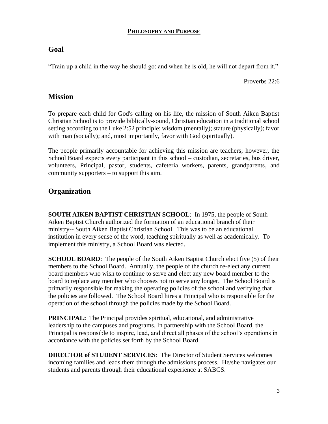#### **PHILOSOPHY AND PURPOSE**

# <span id="page-3-1"></span><span id="page-3-0"></span>**Goal**

"Train up a child in the way he should go: and when he is old, he will not depart from it."

Proverbs 22:6

# <span id="page-3-2"></span>**Mission**

To prepare each child for God's calling on his life, the mission of South Aiken Baptist Christian School is to provide biblically-sound, Christian education in a traditional school setting according to the Luke 2:52 principle: wisdom (mentally); stature (physically); favor with man (socially); and, most importantly, favor with God (spiritually).

The people primarily accountable for achieving this mission are teachers; however, the School Board expects every participant in this school – custodian, secretaries, bus driver, volunteers, Principal, pastor, students, cafeteria workers, parents, grandparents, and community supporters – to support this aim.

# <span id="page-3-3"></span>**Organization**

<span id="page-3-4"></span>**SOUTH AIKEN BAPTIST CHRISTIAN SCHOOL**: In 1975, the people of South Aiken Baptist Church authorized the formation of an educational branch of their ministry-- South Aiken Baptist Christian School. This was to be an educational institution in every sense of the word, teaching spiritually as well as academically. To implement this ministry, a School Board was elected.

**SCHOOL BOARD:** The people of the South Aiken Baptist Church elect five (5) of their members to the School Board. Annually, the people of the church re-elect any current board members who wish to continue to serve and elect any new board member to the board to replace any member who chooses not to serve any longer. The School Board is primarily responsible for making the operating policies of the school and verifying that the policies are followed. The School Board hires a Principal who is responsible for the operation of the school through the policies made by the School Board.

**PRINCIPAL:** The Principal provides spiritual, educational, and administrative leadership to the campuses and programs. In partnership with the School Board, the Principal is responsible to inspire, lead, and direct all phases of the school's operations in accordance with the policies set forth by the School Board.

**DIRECTOR of STUDENT SERVICES**: The Director of Student Services welcomes incoming families and leads them through the admissions process. He/she navigates our students and parents through their educational experience at SABCS.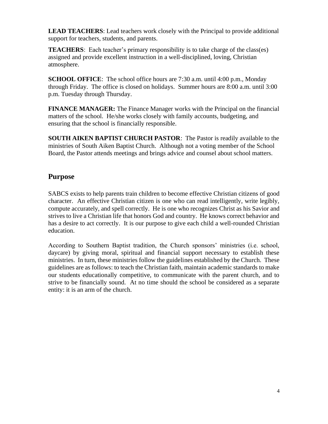**LEAD TEACHERS**: Lead teachers work closely with the Principal to provide additional support for teachers, students, and parents.

**TEACHERS**: Each teacher's primary responsibility is to take charge of the class(es) assigned and provide excellent instruction in a well-disciplined, loving, Christian atmosphere.

**SCHOOL OFFICE**: The school office hours are 7:30 a.m. until 4:00 p.m., Monday through Friday. The office is closed on holidays. Summer hours are 8:00 a.m. until 3:00 p.m. Tuesday through Thursday.

**FINANCE MANAGER:** The Finance Manager works with the Principal on the financial matters of the school. He/she works closely with family accounts, budgeting, and ensuring that the school is financially responsible.

**SOUTH AIKEN BAPTIST CHURCH PASTOR**: The Pastor is readily available to the ministries of South Aiken Baptist Church. Although not a voting member of the School Board, the Pastor attends meetings and brings advice and counsel about school matters.

# **Purpose**

SABCS exists to help parents train children to become effective Christian citizens of good character. An effective Christian citizen is one who can read intelligently, write legibly, compute accurately, and spell correctly. He is one who recognizes Christ as his Savior and strives to live a Christian life that honors God and country. He knows correct behavior and has a desire to act correctly. It is our purpose to give each child a well-rounded Christian education.

<span id="page-4-0"></span>According to Southern Baptist tradition, the Church sponsors' ministries (i.e. school, daycare) by giving moral, spiritual and financial support necessary to establish these ministries. In turn, these ministries follow the guidelines established by the Church. These guidelines are as follows: to teach the Christian faith, maintain academic standards to make our students educationally competitive, to communicate with the parent church, and to strive to be financially sound. At no time should the school be considered as a separate entity: it is an arm of the church.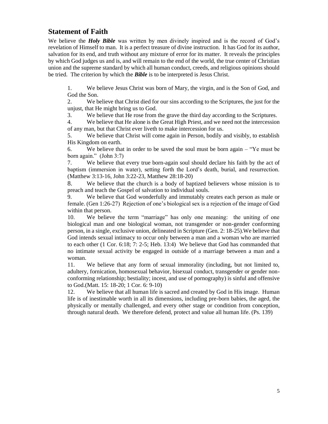# **Statement of Faith**

We believe the *Holy Bible* was written by men divinely inspired and is the record of God's revelation of Himself to man. It is a perfect treasure of divine instruction. It has God for its author, salvation for its end, and truth without any mixture of error for its matter. It reveals the principles by which God judges us and is, and will remain to the end of the world, the true center of Christian union and the supreme standard by which all human conduct, creeds, and religious opinions should be tried. The criterion by which the *Bible* is to be interpreted is Jesus Christ.

1. We believe Jesus Christ was born of Mary, the virgin, and is the Son of God, and God the Son.

2. We believe that Christ died for our sins according to the Scriptures, the just for the unjust, that He might bring us to God.

3. We believe that He rose from the grave the third day according to the Scriptures.

4. We believe that He alone is the Great High Priest, and we need not the intercession of any man, but that Christ ever liveth to make intercession for us.

5. We believe that Christ will come again in Person, bodily and visibly, to establish His Kingdom on earth.

6. We believe that in order to be saved the soul must be born again – "Ye must be born again." (John 3:7)

7. We believe that every true born-again soul should declare his faith by the act of baptism (immersion in water), setting forth the Lord's death, burial, and resurrection. (Matthew 3:13-16, John 3:22-23, Matthew 28:18-20)

8. We believe that the church is a body of baptized believers whose mission is to preach and teach the Gospel of salvation to individual souls.

9. We believe that God wonderfully and immutably creates each person as male or female. (Gen 1:26-27) Rejection of one's biological sex is a rejection of the image of God within that person.

10. We believe the term "marriage" has only one meaning: the uniting of one biological man and one biological woman, not transgender or non-gender conforming person, in a single, exclusive union, delineated in Scripture (Gen. 2: 18-25).We believe that God intends sexual intimacy to occur only between a man and a woman who are married to each other (1 Cor. 6:18; 7: 2-5; Heb. 13:4) We believe that God has commanded that no intimate sexual activity be engaged in outside of a marriage between a man and a woman.

11. We believe that any form of sexual immorality (including, but not limited to, adultery, fornication, homosexual behavior, bisexual conduct, transgender or gender nonconforming relationship; bestiality; incest, and use of pornography) is sinful and offensive to God.(Matt. 15: 18-20; 1 Cor. 6: 9-10)

<span id="page-5-0"></span>12. We believe that all human life is sacred and created by God in His image. Human life is of inestimable worth in all its dimensions, including pre-born babies, the aged, the physically or mentally challenged, and every other stage or condition from conception, through natural death. We therefore defend, protect and value all human life. (Ps. 139)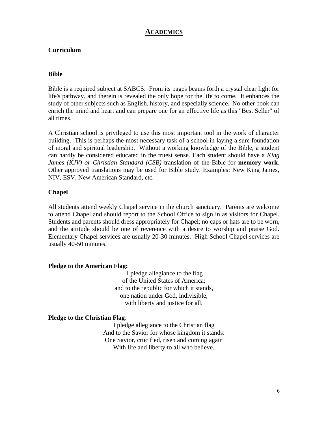#### **ACADEMICS**

#### <span id="page-6-0"></span>**Curriculum**

#### <span id="page-6-1"></span>**Bible**

Bible is a required subject at SABCS. From its pages beams forth a crystal clear light for life's pathway, and therein is revealed the only hope for the life to come. It enhances the study of other subjects such as English, history, and especially science. No other book can enrich the mind and heart and can prepare one for an effective life as this "Best Seller" of all times.

A Christian school is privileged to use this most important tool in the work of character building. This is perhaps the most necessary task of a school in laying a sure foundation of moral and spiritual leadership. Without a working knowledge of the Bible, a student can hardly be considered educated in the truest sense. Each student should have a *King James (KJV) or Christian Standard (CSB)* translation of the Bible for **memory work**. Other approved translations may be used for Bible study. Examples: New King James, NIV, ESV, New American Standard, etc.

#### <span id="page-6-2"></span>**Chapel**

All students attend weekly Chapel service in the church sanctuary. Parents are welcome to attend Chapel and should report to the School Office to sign in as visitors for Chapel. Students and parents should dress appropriately for Chapel; no caps or hats are to be worn, and the attitude should be one of reverence with a desire to worship and praise God. Elementary Chapel services are usually 20-30 minutes. High School Chapel services are usually 40-50 minutes.

#### **Pledge to the American Flag:**

I pledge allegiance to the flag of the United States of America; and to the republic for which it stands, one nation under God, indivisible, with liberty and justice for all.

#### **Pledge to the Christian Flag**:

I pledge allegiance to the Christian flag And to the Savior for whose kingdom it stands: One Savior, crucified, risen and coming again With life and liberty to all who believe.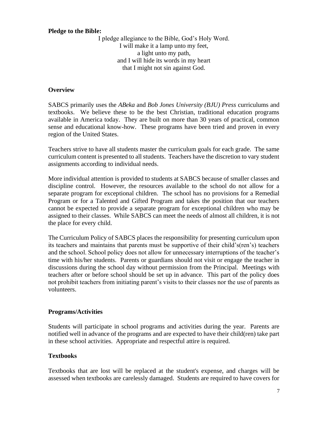#### **Pledge to the Bible:**

I pledge allegiance to the Bible, God's Holy Word. I will make it a lamp unto my feet, a light unto my path, and I will hide its words in my heart that I might not sin against God.

#### <span id="page-7-0"></span>**Overview**

SABCS primarily uses the *ABeka* and *Bob Jones University (BJU) Press* curriculums and textbooks. We believe these to be the best Christian, traditional education programs available in America today. They are built on more than 30 years of practical, common sense and educational know-how. These programs have been tried and proven in every region of the United States.

Teachers strive to have all students master the curriculum goals for each grade. The same curriculum content is presented to all students. Teachers have the discretion to vary student assignments according to individual needs.

More individual attention is provided to students at SABCS because of smaller classes and discipline control. However, the resources available to the school do not allow for a separate program for exceptional children. The school has no provisions for a Remedial Program or for a Talented and Gifted Program and takes the position that our teachers cannot be expected to provide a separate program for exceptional children who may be assigned to their classes. While SABCS can meet the needs of almost all children, it is not the place for every child.

The Curriculum Policy of SABCS places the responsibility for presenting curriculum upon its teachers and maintains that parents must be supportive of their child's(ren's) teachers and the school. School policy does not allow for unnecessary interruptions of the teacher's time with his/her students. Parents or guardians should not visit or engage the teacher in discussions during the school day without permission from the Principal. Meetings with teachers after or before school should be set up in advance. This part of the policy does not prohibit teachers from initiating parent's visits to their classes nor the use of parents as volunteers.

#### <span id="page-7-1"></span>**Programs/Activities**

Students will participate in school programs and activities during the year. Parents are notified well in advance of the programs and are expected to have their child(ren) take part in these school activities. Appropriate and respectful attire is required.

#### <span id="page-7-2"></span>**Textbooks**

Textbooks that are lost will be replaced at the student's expense, and charges will be assessed when textbooks are carelessly damaged. Students are required to have covers for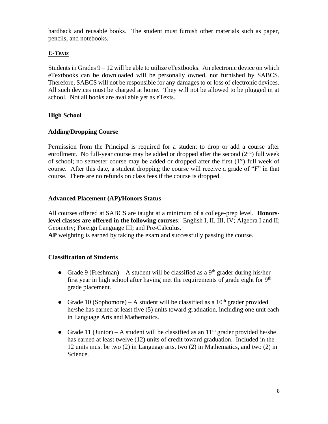hardback and reusable books. The student must furnish other materials such as paper, pencils, and notebooks.

# *E-Texts*

Students in Grades 9 – 12 will be able to utilize eTextbooks. An electronic device on which eTextbooks can be downloaded will be personally owned, not furnished by SABCS. Therefore, SABCS will not be responsible for any damages to or loss of electronic devices. All such devices must be charged at home. They will not be allowed to be plugged in at school. Not all books are available yet as eTexts.

#### <span id="page-8-0"></span>**High School**

#### <span id="page-8-1"></span>**Adding/Dropping Course**

Permission from the Principal is required for a student to drop or add a course after enrollment. No full-year course may be added or dropped after the second  $(2<sup>nd</sup>)$  full week of school; no semester course may be added or dropped after the first  $(1<sup>st</sup>)$  full week of course. After this date, a student dropping the course will receive a grade of "F" in that course. There are no refunds on class fees if the course is dropped.

#### <span id="page-8-2"></span>**Advanced Placement (AP)/Honors Status**

All courses offered at SABCS are taught at a minimum of a college-prep level. **Honorslevel classes are offered in the following courses**: English I, II, III, IV; Algebra I and II; Geometry; Foreign Language III; and Pre-Calculus.

<span id="page-8-3"></span>**AP** weighting is earned by taking the exam and successfully passing the course.

#### **Classification of Students**

- Grade 9 (Freshman) A student will be classified as a 9<sup>th</sup> grader during his/her first year in high school after having met the requirements of grade eight for  $9<sup>th</sup>$ grade placement.
- Grade 10 (Sophomore) A student will be classified as a  $10<sup>th</sup>$  grader provided he/she has earned at least five (5) units toward graduation, including one unit each in Language Arts and Mathematics.
- Grade 11 (Junior) A student will be classified as an  $11<sup>th</sup>$  grader provided he/she has earned at least twelve (12) units of credit toward graduation. Included in the 12 units must be two (2) in Language arts, two (2) in Mathematics, and two (2) in Science.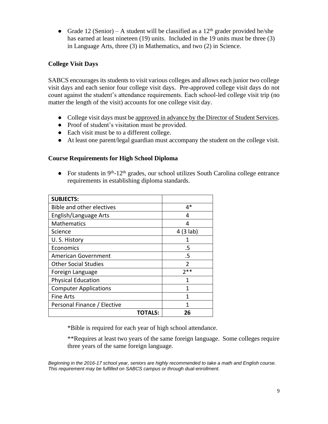• Grade 12 (Senior) – A student will be classified as a  $12<sup>th</sup>$  grader provided he/she has earned at least nineteen (19) units. Included in the 19 units must be three (3) in Language Arts, three (3) in Mathematics, and two (2) in Science.

#### <span id="page-9-0"></span>**College Visit Days**

SABCS encourages its students to visit various colleges and allows each junior two college visit days and each senior four college visit days. Pre-approved college visit days do not count against the student's attendance requirements. Each school-led college visit trip (no matter the length of the visit) accounts for one college visit day.

- College visit days must be approved in advance by the Director of Student Services.
- Proof of student's visitation must be provided.
- Each visit must be to a different college.
- At least one parent/legal guardian must accompany the student on the college visit.

#### <span id="page-9-1"></span>**Course Requirements for High School Diploma**

• For students in 9<sup>th</sup>-12<sup>th</sup> grades, our school utilizes South Carolina college entrance requirements in establishing diploma standards.

| <b>SUBJECTS:</b>             |                |
|------------------------------|----------------|
| Bible and other electives    | 4*             |
| English/Language Arts        | 4              |
| <b>Mathematics</b>           | 4              |
| Science                      | 4(3 lab)       |
| U.S. History                 | 1              |
| Economics                    | .5             |
| <b>American Government</b>   | .5             |
| <b>Other Social Studies</b>  | $\mathfrak{D}$ |
| Foreign Language             | $2**$          |
| <b>Physical Education</b>    | 1              |
| <b>Computer Applications</b> | 1              |
| Fine Arts                    | 1              |
| Personal Finance / Elective  |                |
| TOTALS:                      | 26             |

\*Bible is required for each year of high school attendance.

\*\*Requires at least two years of the same foreign language. Some colleges require three years of the same foreign language.

*Beginning in the 2016-17 school year, seniors are highly recommended to take a math and English course. This requirement may be fulfilled on SABCS campus or through dual-enrollment.*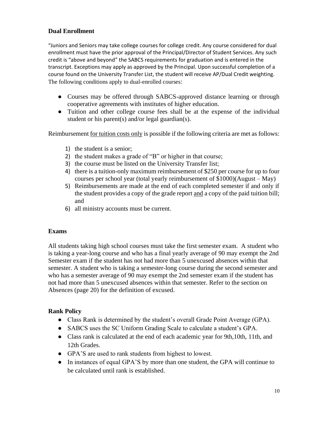#### <span id="page-10-0"></span>**Dual Enrollment**

"Juniors and Seniors may take college courses for college credit. Any course considered for dual enrollment must have the prior approval of the Principal/Director of Student Services. Any such credit is "above and beyond" the SABCS requirements for graduation and is entered in the transcript. Exceptions may apply as approved by the Principal. Upon successful completion of a course found on the University Transfer List, the student will receive AP/Dual Credit weighting. The following conditions apply to dual-enrolled courses:

- Courses may be offered through SABCS-approved distance learning or through cooperative agreements with institutes of higher education.
- Tuition and other college course fees shall be at the expense of the individual student or his parent(s) and/or legal guardian(s).

Reimbursement for tuition costs only is possible if the following criteria are met as follows:

- 1) the student is a senior;
- 2) the student makes a grade of "B" or higher in that course;
- 3) the course must be listed on the University Transfer list;
- 4) there is a tuition-only maximum reimbursement of \$250 per course for up to four courses per school year (total yearly reimbursement of \$1000)(August – May)
- 5) Reimbursements are made at the end of each completed semester if and only if the student provides a copy of the grade report and a copy of the paid tuition bill; and
- 6) all ministry accounts must be current.

#### **Exams**

All students taking high school courses must take the first semester exam. A student who is taking a year-long course and who has a final yearly average of 90 may exempt the 2nd Semester exam if the student has not had more than 5 unexcused absences within that semester. A student who is taking a semester-long course during the second semester and who has a semester average of 90 may exempt the 2nd semester exam if the student has not had more than 5 unexcused absences within that semester. Refer to the section on Absences (page 20) for the definition of excused.

#### **Rank Policy**

- Class Rank is determined by the student's overall Grade Point Average (GPA).
- SABCS uses the SC Uniform Grading Scale to calculate a student's GPA.
- Class rank is calculated at the end of each academic year for 9th,10th, 11th, and 12th Grades.
- GPA'S are used to rank students from highest to lowest.
- In instances of equal GPA'S by more than one student, the GPA will continue to be calculated until rank is established.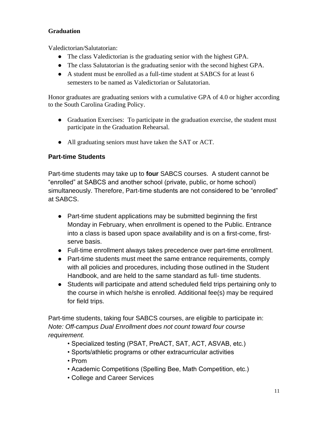# **Graduation**

Valedictorian/Salutatorian:

- The class Valedictorian is the graduating senior with the highest GPA.
- The class Salutatorian is the graduating senior with the second highest GPA.
- A student must be enrolled as a full-time student at SABCS for at least 6 semesters to be named as Valedictorian or Salutatorian.

Honor graduates are graduating seniors with a cumulative GPA of 4.0 or higher according to the South Carolina Grading Policy.

- Graduation Exercises: To participate in the graduation exercise, the student must participate in the Graduation Rehearsal.
- All graduating seniors must have taken the SAT or ACT.

# <span id="page-11-0"></span>**Part-time Students**

Part-time students may take up to **four** SABCS courses. A student cannot be "enrolled" at SABCS and another school (private, public, or home school) simultaneously. Therefore, Part-time students are not considered to be "enrolled" at SABCS.

- Part-time student applications may be submitted beginning the first Monday in February, when enrollment is opened to the Public. Entrance into a class is based upon space availability and is on a first-come, firstserve basis.
- Full-time enrollment always takes precedence over part-time enrollment.
- Part-time students must meet the same entrance requirements, comply with all policies and procedures, including those outlined in the Student Handbook, and are held to the same standard as full- time students.
- Students will participate and attend scheduled field trips pertaining only to the course in which he/she is enrolled. Additional fee(s) may be required for field trips.

Part-time students, taking four SABCS courses, are eligible to participate in: *Note: Off-campus Dual Enrollment does not count toward four course requirement.*

- Specialized testing (PSAT, PreACT, SAT, ACT, ASVAB, etc.)
- Sports/athletic programs or other extracurricular activities
- Prom
- Academic Competitions (Spelling Bee, Math Competition, etc.)
- College and Career Services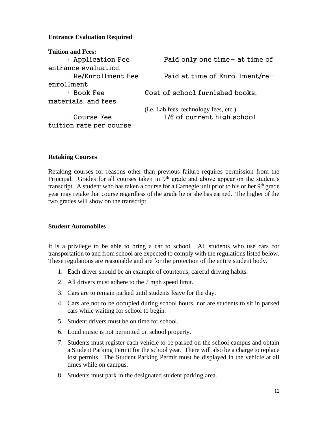#### **Entrance Evaluation Required**

| <b>Tuition and Fees:</b>  |                                        |
|---------------------------|----------------------------------------|
| $\cdot$ Application Fee   | Paid only one time- at time of         |
| entrance evaluation       |                                        |
| $\cdot$ Re/Enrollment Fee | Paid at time of Enrollment/re-         |
| enrollment                |                                        |
| $\cdot$ Book Fee          | Cost of school furnished books,        |
| materials, and fees       |                                        |
|                           | (i.e. Lab fees, technology fees, etc.) |
| $\cdot$ Course Fee        | 1/6 of current high school             |
| tuition rate per course   |                                        |

#### <span id="page-12-0"></span>**Retaking Courses**

Retaking courses for reasons other than previous failure requires permission from the Principal. Grades for all courses taken in  $9<sup>th</sup>$  grade and above appear on the student's transcript. A student who has taken a course for a Carnegie unit prior to his or her  $9<sup>th</sup>$  grade year may retake that course regardless of the grade he or she has earned. The higher of the two grades will show on the transcript.

#### <span id="page-12-1"></span>**Student Automobiles**

It is a privilege to be able to bring a car to school. All students who use cars for transportation to and from school are expected to comply with the regulations listed below. These regulations are reasonable and are for the protection of the entire student body.

- 1. Each driver should be an example of courteous, careful driving habits.
- 2. All drivers must adhere to the 7 mph speed limit.
- 3. Cars are to remain parked until students leave for the day.
- 4. Cars are not to be occupied during school hours, nor are students to sit in parked cars while waiting for school to begin.
- 5. Student drivers must be on time for school.
- 6. Loud music is not permitted on school property.
- 7. Students must register each vehicle to be parked on the school campus and obtain a Student Parking Permit for the school year. There will also be a charge to replace lost permits. The Student Parking Permit must be displayed in the vehicle at all times while on campus.
- 8. Students must park in the designated student parking area.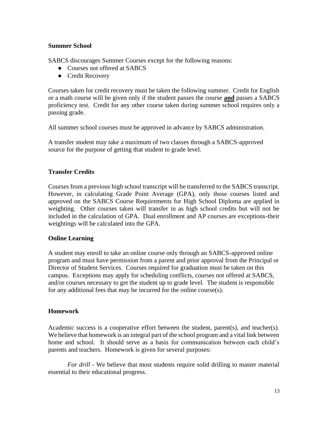#### <span id="page-13-0"></span>**Summer School**

SABCS discourages Summer Courses except for the following reasons:

- Courses not offered at SABCS
- Credit Recovery

Courses taken for credit recovery must be taken the following summer. Credit for English or a math course will be given only if the student passes the course **and** passes a SABCS proficiency test. Credit for any other course taken during summer school requires only a passing grade.

All summer school courses must be approved in advance by SABCS administration.

A transfer student may take a maximum of two classes through a SABCS-approved source for the purpose of getting that student to grade level.

#### <span id="page-13-1"></span>**Transfer Credits**

Courses from a previous high school transcript will be transferred to the SABCS transcript. However, in calculating Grade Point Average (GPA), only those courses listed and approved on the SABCS Course Requirements for High School Diploma are applied in weighting. Other courses taken will transfer in as high school credits but will not be included in the calculation of GPA. Dual enrollment and AP courses are exceptions-their weightings will be calculated into the GPA.

#### **Online Learning**

A student may enroll to take an online course only through an SABCS-approved online program and must have permission from a parent and prior approval from the Principal or Director of Student Services. Courses required for graduation must be taken on this campus. Exceptions may apply for scheduling conflicts, courses not offered at SABCS, and/or courses necessary to get the student up to grade level. The student is responsible for any additional fees that may be incurred for the online course(s).

#### <span id="page-13-2"></span>**Homework**

Academic success is a cooperative effort between the student, parent(s), and teacher(s). We believe that homework is an integral part of the school program and a vital link between home and school. It should serve as a basis for communication between each child's parents and teachers. Homework is given for several purposes:

*For drill* - We believe that most students require solid drilling to master material essential to their educational progress.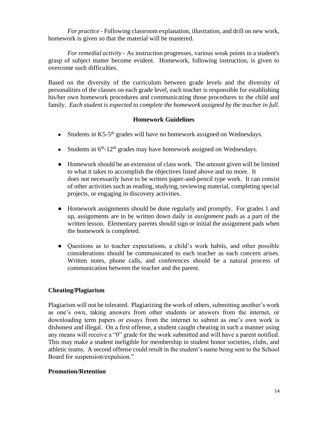*For practice* - Following classroom explanation, illustration, and drill on new work, homework is given so that the material will be mastered.

*For remedial activity* - As instruction progresses, various weak points in a student's grasp of subject matter become evident. Homework, following instruction, is given to overcome such difficulties.

Based on the diversity of the curriculum between grade levels and the diversity of personalities of the classes on each grade level, each teacher is responsible for establishing his/her own homework procedures and communicating those procedures to the child and family. *Each student is expected to complete the homework assigned by the teacher in full.*

#### **Homework Guidelines**

- Students in K5-5<sup>th</sup> grades will have no homework assigned on Wednesdays.
- Students in  $6<sup>th</sup> 12<sup>th</sup>$  grades may have homework assigned on Wednesdays.
- Homework should be an extension of class work. The amount given will be limited to what it takes to accomplish the objectives listed above and no more. It does not necessarily have to be written paper-and-pencil type work. It can consist of other activities such as reading, studying, reviewing material, completing special projects, or engaging in discovery activities.
- Homework assignments should be done regularly and promptly. For grades 1 and up, assignments are to be written down daily in *assignment pads* as a part of the written lesson. Elementary parents should sign or initial the assignment pads when the homework is completed.
- Questions as to teacher expectations, a child's work habits, and other possible considerations should be communicated to each teacher as each concern arises. Written notes, phone calls, and conferences should be a natural process of communication between the teacher and the parent.

#### **Cheating/Plagiarism**

Plagiarism will not be tolerated. Plagiarizing the work of others, submitting another's work as one's own, taking answers from other students or answers from the internet, or downloading term papers or essays from the internet to submit as one's own work is dishonest and illegal. On a first offense, a student caught cheating in such a manner using any means will receive a "0" grade for the work submitted and will have a parent notified. This may make a student ineligible for membership in student honor societies, clubs, and athletic teams. A second offense could result in the student's name being sent to the School Board for suspension/expulsion."

#### <span id="page-14-0"></span>**Promotion/Retention**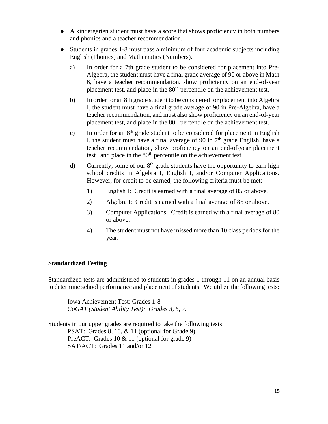- A kindergarten student must have a score that shows proficiency in both numbers and phonics and a teacher recommendation.
- Students in grades 1-8 must pass a minimum of four academic subjects including English (Phonics) and Mathematics (Numbers).
	- a) In order for a 7th grade student to be considered for placement into Pre-Algebra, the student must have a final grade average of 90 or above in Math 6, have a teacher recommendation, show proficiency on an end-of-year placement test, and place in the 80<sup>th</sup> percentile on the achievement test.
	- b) In order for an 8th grade student to be considered for placement into Algebra I, the student must have a final grade average of 90 in Pre-Algebra, have a teacher recommendation, and must also show proficiency on an end-of-year placement test, and place in the 80<sup>th</sup> percentile on the achievement test.
	- c) In order for an  $8<sup>th</sup>$  grade student to be considered for placement in English I, the student must have a final average of 90 in  $7<sup>th</sup>$  grade English, have a teacher recommendation, show proficiency on an end-of-year placement test, and place in the 80<sup>th</sup> percentile on the achievement test.
	- d) Currently, some of our  $8<sup>th</sup>$  grade students have the opportunity to earn high school credits in Algebra I, English I, and/or Computer Applications. However, for credit to be earned, the following criteria must be met:
		- 1) English I: Credit is earned with a final average of 85 or above.
		- 2) Algebra I: Credit is earned with a final average of 85 or above.
		- 3) Computer Applications: Credit is earned with a final average of 80 or above.
		- 4) The student must not have missed more than 10 class periods for the year.

#### <span id="page-15-0"></span>**Standardized Testing**

Standardized tests are administered to students in grades 1 through 11 on an annual basis to determine school performance and placement of students. We utilize the following tests:

Iowa Achievement Test: Grades 1-8 *CoGAT (Student Ability Test): Grades 3, 5, 7.*

Students in our upper grades are required to take the following tests: PSAT: Grades 8, 10, & 11 (optional for Grade 9) PreACT: Grades 10 & 11 (optional for grade 9) SAT/ACT: Grades 11 and/or 12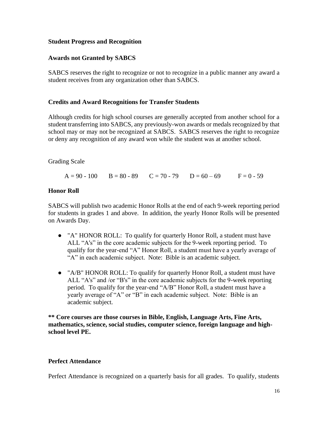#### <span id="page-16-0"></span>**Student Progress and Recognition**

#### <span id="page-16-1"></span>**Awards not Granted by SABCS**

SABCS reserves the right to recognize or not to recognize in a public manner any award a student receives from any organization other than SABCS.

#### <span id="page-16-2"></span>**Credits and Award Recognitions for Transfer Students**

Although credits for high school courses are generally accepted from another school for a student transferring into SABCS, any previously-won awards or medals recognized by that school may or may not be recognized at SABCS. SABCS reserves the right to recognize or deny any recognition of any award won while the student was at another school.

Grading Scale

 $A = 90 - 100$   $B = 80 - 89$   $C = 70 - 79$   $D = 60 - 69$   $F = 0 - 59$ 

#### <span id="page-16-3"></span>**Honor Roll**

SABCS will publish two academic Honor Rolls at the end of each 9-week reporting period for students in grades 1 and above. In addition, the yearly Honor Rolls will be presented on Awards Day.

- "A" HONOR ROLL: To qualify for quarterly Honor Roll, a student must have ALL "A's" in the core academic subjects for the 9-week reporting period. To qualify for the year-end "A" Honor Roll, a student must have a yearly average of "A" in each academic subject. Note: Bible is an academic subject.
- "A/B" HONOR ROLL: To qualify for quarterly Honor Roll, a student must have ALL "A's" and /or "B's" in the core academic subjects for the 9-week reporting period. To qualify for the year-end "A/B" Honor Roll, a student must have a yearly average of "A" or "B" in each academic subject. Note: Bible is an academic subject.

**\*\* Core courses are those courses in Bible, English, Language Arts, Fine Arts, mathematics, science, social studies, computer science, foreign language and highschool level PE.**

#### <span id="page-16-4"></span>**Perfect Attendance**

Perfect Attendance is recognized on a quarterly basis for all grades. To qualify, students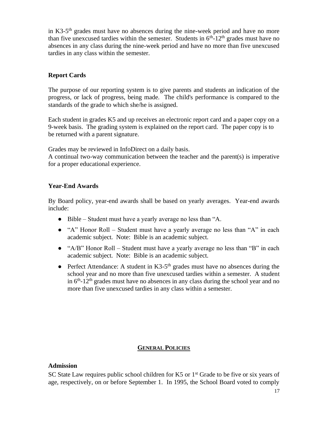in K3-5<sup>th</sup> grades must have no absences during the nine-week period and have no more than five unexcused tardies within the semester. Students in  $6<sup>th</sup>$ -12<sup>th</sup> grades must have no absences in any class during the nine-week period and have no more than five unexcused tardies in any class within the semester.

#### <span id="page-17-0"></span>**Report Cards**

The purpose of our reporting system is to give parents and students an indication of the progress, or lack of progress, being made. The child's performance is compared to the standards of the grade to which she/he is assigned.

Each student in grades K5 and up receives an electronic report card and a paper copy on a 9-week basis. The grading system is explained on the report card. The paper copy is to be returned with a parent signature.

Grades may be reviewed in InfoDirect on a daily basis.

A continual two-way communication between the teacher and the parent(s) is imperative for a proper educational experience.

#### <span id="page-17-1"></span>**Year-End Awards**

By Board policy, year-end awards shall be based on yearly averages. Year-end awards include:

- Bible Student must have a yearly average no less than "A.
- "A" Honor Roll Student must have a yearly average no less than "A" in each academic subject. Note: Bible is an academic subject.
- "A/B" Honor Roll Student must have a yearly average no less than "B" in each academic subject. Note: Bible is an academic subject.
- Perfect Attendance: A student in K3-5<sup>th</sup> grades must have no absences during the school year and no more than five unexcused tardies within a semester. A student in  $6<sup>th</sup>$ -12<sup>th</sup> grades must have no absences in any class during the school year and no more than five unexcused tardies in any class within a semester.

#### **GENERAL POLICIES**

#### <span id="page-17-3"></span><span id="page-17-2"></span>**Admission**

SC State Law requires public school children for K5 or  $1<sup>st</sup>$  Grade to be five or six years of age, respectively, on or before September 1. In 1995, the School Board voted to comply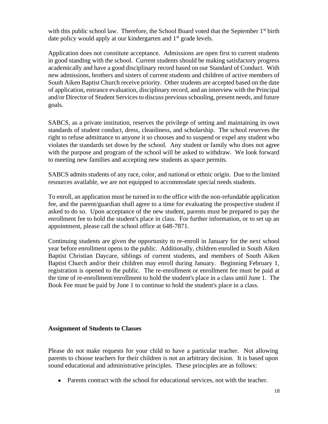with this public school law. Therefore, the School Board voted that the September  $1<sup>st</sup>$  birth date policy would apply at our kindergarten and 1<sup>st</sup> grade levels.

Application does not constitute acceptance. Admissions are open first to current students in good standing with the school. Current students should be making satisfactory progress academically and have a good disciplinary record based on our Standard of Conduct. With new admissions, brothers and sisters of current students and children of active members of South Aiken Baptist Church receive priority. Other students are accepted based on the date of application, entrance evaluation, disciplinary record, and an interview with the Principal and/or Director of Student Services to discuss previous schooling, present needs, and future goals.

SABCS, as a private institution, reserves the privilege of setting and maintaining its own standards of student conduct, dress, cleanliness, and scholarship. The school reserves the right to refuse admittance to anyone it so chooses and to suspend or expel any student who violates the standards set down by the school. Any student or family who does not agree with the purpose and program of the school will be asked to withdraw. We look forward to meeting new families and accepting new students as space permits.

SABCS admits students of any race, color, and national or ethnic origin. Due to the limited resources available, we are not equipped to accommodate special needs students.

To enroll, an application must be turned in to the office with the non-refundable application fee, and the parent/guardian shall agree to a time for evaluating the prospective student if asked to do so. Upon acceptance of the new student, parents must be prepared to pay the enrollment fee to hold the student's place in class. For further information, or to set up an appointment, please call the school office at 648-7871.

Continuing students are given the opportunity to re-enroll in January for the next school year before enrollment opens to the public. Additionally, children enrolled in South Aiken Baptist Christian Daycare, siblings of current students, and members of South Aiken Baptist Church and/or their children may enroll during January. Beginning February 1, registration is opened to the public. The re-enrollment or enrollment fee must be paid at the time of re-enrollment/enrollment to hold the student's place in a class until June 1. The Book Fee must be paid by June 1 to continue to hold the student's place in a class.

#### <span id="page-18-0"></span>**Assignment of Students to Classes**

Please do not make requests for your child to have a particular teacher. Not allowing parents to choose teachers for their children is not an arbitrary decision. It is based upon sound educational and administrative principles. These principles are as follows:

• Parents contract with the school for educational services, not with the teacher.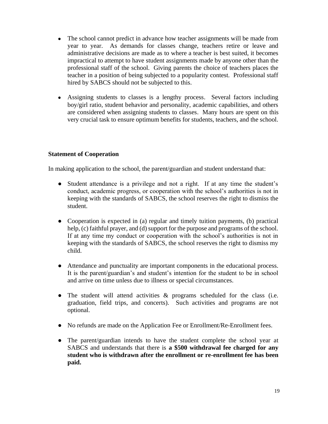- The school cannot predict in advance how teacher assignments will be made from year to year. As demands for classes change, teachers retire or leave and administrative decisions are made as to where a teacher is best suited, it becomes impractical to attempt to have student assignments made by anyone other than the professional staff of the school. Giving parents the choice of teachers places the teacher in a position of being subjected to a popularity contest. Professional staff hired by SABCS should not be subjected to this.
- Assigning students to classes is a lengthy process. Several factors including boy/girl ratio, student behavior and personality, academic capabilities, and others are considered when assigning students to classes. Many hours are spent on this very crucial task to ensure optimum benefits for students, teachers, and the school.

#### <span id="page-19-0"></span>**Statement of Cooperation**

In making application to the school, the parent/guardian and student understand that:

- Student attendance is a privilege and not a right. If at any time the student's conduct, academic progress, or cooperation with the school's authorities is not in keeping with the standards of SABCS, the school reserves the right to dismiss the student.
- Cooperation is expected in (a) regular and timely tuition payments, (b) practical help, (c) faithful prayer, and (d) support for the purpose and programs of the school. If at any time my conduct or cooperation with the school's authorities is not in keeping with the standards of SABCS, the school reserves the right to dismiss my child.
- Attendance and punctuality are important components in the educational process. It is the parent/guardian's and student's intention for the student to be in school and arrive on time unless due to illness or special circumstances.
- The student will attend activities & programs scheduled for the class (i.e. graduation, field trips, and concerts). Such activities and programs are not optional.
- No refunds are made on the Application Fee or Enrollment/Re-Enrollment fees.
- The parent/guardian intends to have the student complete the school year at SABCS and understands that there is **a \$500 withdrawal fee charged for any student who is withdrawn after the enrollment or re-enrollment fee has been paid.**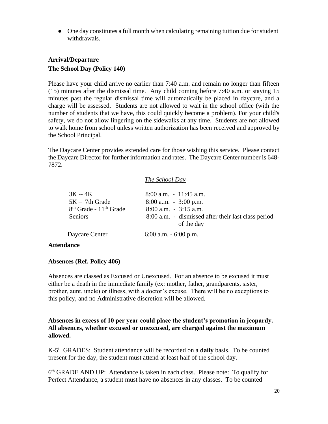• One day constitutes a full month when calculating remaining tuition due for student withdrawals.

# <span id="page-20-1"></span><span id="page-20-0"></span>**Arrival/Departure The School Day (Policy 140)**

Please have your child arrive no earlier than 7:40 a.m. and remain no longer than fifteen (15) minutes after the dismissal time. Any child coming before 7:40 a.m. or staying 15 minutes past the regular dismissal time will automatically be placed in daycare, and a charge will be assessed. Students are not allowed to wait in the school office (with the number of students that we have, this could quickly become a problem). For your child's safety, we do not allow lingering on the sidewalks at any time. Students are not allowed to walk home from school unless written authorization has been received and approved by the School Principal.

The Daycare Center provides extended care for those wishing this service. Please contact the Daycare Director for further information and rates. The Daycare Center number is 648- 7872.

#### *The School Day*

| $3K - 4K$<br>$5K - 7th$ Grade<br>8 <sup>th</sup> Grade - 11 <sup>th</sup> Grade<br><b>Seniors</b> | $8:00$ a.m. $-11:45$ a.m.<br>$8:00$ a.m. $-3:00$ p.m.<br>$8:00$ a.m. $-3:15$ a.m.<br>8:00 a.m. - dismissed after their last class period<br>of the day |
|---------------------------------------------------------------------------------------------------|--------------------------------------------------------------------------------------------------------------------------------------------------------|
| Daycare Center                                                                                    | $6:00$ a.m. $-6:00$ p.m.                                                                                                                               |
|                                                                                                   |                                                                                                                                                        |

#### <span id="page-20-2"></span>**Attendance**

#### <span id="page-20-3"></span>**Absences (Ref. Policy 406)**

Absences are classed as Excused or Unexcused. For an absence to be excused it must either be a death in the immediate family (ex: mother, father, grandparents, sister, brother, aunt, uncle) or illness, with a doctor's excuse. There will be no exceptions to this policy, and no Administrative discretion will be allowed.

#### **Absences in excess of 10 per year could place the student's promotion in jeopardy. All absences, whether excused or unexcused, are charged against the maximum allowed.**

K-5 th GRADES: Student attendance will be recorded on a **daily** basis. To be counted present for the day, the student must attend at least half of the school day.

6<sup>th</sup> GRADE AND UP: Attendance is taken in each class. Please note: To qualify for Perfect Attendance, a student must have no absences in any classes. To be counted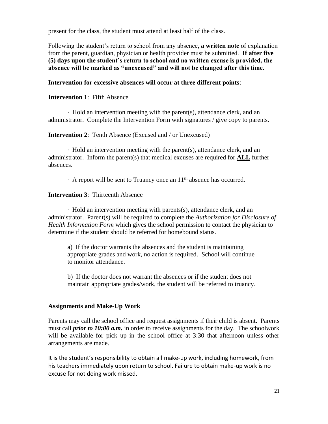present for the class, the student must attend at least half of the class.

Following the student's return to school from any absence, **a written note** of explanation from the parent, guardian, physician or health provider must be submitted. **If after five (5) days upon the student's return to school and no written excuse is provided, the absence will be marked as "unexcused" and will not be changed after this time.** 

**Intervention for excessive absences will occur at three different points**:

#### **Intervention 1**: Fifth Absence

∙ Hold an intervention meeting with the parent(s), attendance clerk, and an administrator. Complete the Intervention Form with signatures / give copy to parents.

**Intervention 2:** Tenth Absence (Excused and / or Unexcused)

∙ Hold an intervention meeting with the parent(s), attendance clerk, and an administrator. Inform the parent(s) that medical excuses are required for **ALL** further absences.

∙ A report will be sent to Truancy once an 11th absence has occurred.

**Intervention 3**: Thirteenth Absence

∙ Hold an intervention meeting with parents(s), attendance clerk, and an administrator. Parent(s) will be required to complete the *Authorization for Disclosure of Health Information Form* which gives the school permission to contact the physician to determine if the student should be referred for homebound status.

a) If the doctor warrants the absences and the student is maintaining appropriate grades and work, no action is required. School will continue to monitor attendance.

b) If the doctor does not warrant the absences or if the student does not maintain appropriate grades/work, the student will be referred to truancy.

#### <span id="page-21-0"></span>**Assignments and Make-Up Work**

Parents may call the school office and request assignments if their child is absent. Parents must call *prior to 10:00 a.m.* in order to receive assignments for the day. The schoolwork will be available for pick up in the school office at 3:30 that afternoon unless other arrangements are made.

It is the student's responsibility to obtain all make-up work, including homework, from his teachers immediately upon return to school. Failure to obtain make-up work is no excuse for not doing work missed.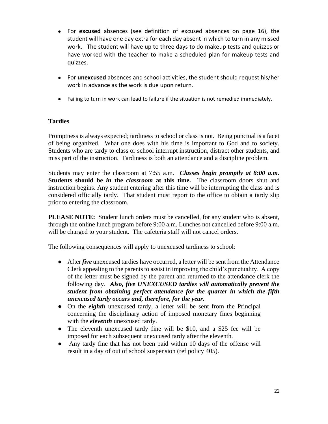- For **excused** absences (see definition of excused absences on page 16), the student will have one day extra for each day absent in which to turn in any missed work. The student will have up to three days to do makeup tests and quizzes or have worked with the teacher to make a scheduled plan for makeup tests and quizzes.
- For **unexcused** absences and school activities, the student should request his/her work in advance as the work is due upon return.
- Failing to turn in work can lead to failure if the situation is not remedied immediately.

#### <span id="page-22-0"></span>**Tardies**

Promptness is always expected; tardiness to school or class is not. Being punctual is a facet of being organized. What one does with his time is important to God and to society. Students who are tardy to class or school interrupt instruction, distract other students, and miss part of the instruction. Tardiness is both an attendance and a discipline problem.

Students may enter the classroom at 7:55 a.m. *Classes begin promptly at 8:00 a.m.* **Students should be** *in* **the** *classroom* **at this time.** The classroom doors shut and instruction begins. Any student entering after this time will be interrupting the class and is considered officially tardy. That student must report to the office to obtain a tardy slip prior to entering the classroom.

**PLEASE NOTE:** Student lunch orders must be cancelled, for any student who is absent, through the online lunch program before 9:00 a.m. Lunches not cancelled before 9:00 a.m. will be charged to your student. The cafeteria staff will not cancel orders.

The following consequences will apply to unexcused tardiness to school:

- After *five* unexcused tardies have occurred, a letter will be sent from the Attendance Clerk appealing to the parents to assist in improving the child's punctuality. A copy of the letter must be signed by the parent and returned to the attendance clerk the following day. *Also, five UNEXCUSED tardies will automatically prevent the student from obtaining perfect attendance for the quarter in which the fifth unexcused tardy occurs and, therefore, for the year.*
- On the *eighth* unexcused tardy, a letter will be sent from the Principal concerning the disciplinary action of imposed monetary fines beginning with the *eleventh* unexcused tardy.
- The eleventh unexcused tardy fine will be \$10, and a \$25 fee will be imposed for each subsequent unexcused tardy after the eleventh.
- <span id="page-22-1"></span>• Any tardy fine that has not been paid within 10 days of the offense will result in a day of out of school suspension (ref policy 405).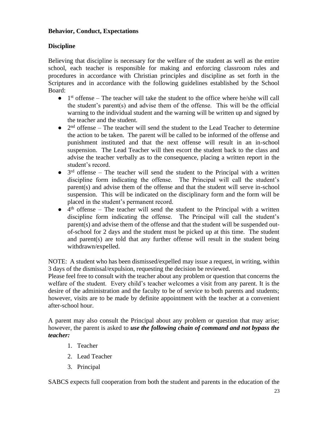#### **Behavior, Conduct, Expectations**

#### <span id="page-23-0"></span>**Discipline**

Believing that discipline is necessary for the welfare of the student as well as the entire school, each teacher is responsible for making and enforcing classroom rules and procedures in accordance with Christian principles and discipline as set forth in the Scriptures and in accordance with the following guidelines established by the School Board:

- $\bullet$  1<sup>st</sup> offense The teacher will take the student to the office where he/she will call the student's parent(s) and advise them of the offense. This will be the official warning to the individual student and the warning will be written up and signed by the teacher and the student.
- $\bullet$  2<sup>nd</sup> offense The teacher will send the student to the Lead Teacher to determine the action to be taken. The parent will be called to be informed of the offense and punishment instituted and that the next offense will result in an in-school suspension. The Lead Teacher will then escort the student back to the class and advise the teacher verbally as to the consequence, placing a written report in the student's record.
- $\bullet$  3<sup>rd</sup> offense The teacher will send the student to the Principal with a written discipline form indicating the offense. The Principal will call the student's parent(s) and advise them of the offense and that the student will serve in-school suspension. This will be indicated on the disciplinary form and the form will be placed in the student's permanent record.
- $\bullet$  4<sup>th</sup> offense The teacher will send the student to the Principal with a written discipline form indicating the offense. The Principal will call the student's parent(s) and advise them of the offense and that the student will be suspended outof-school for 2 days and the student must be picked up at this time. The student and parent(s) are told that any further offense will result in the student being withdrawn/expelled.

NOTE: A student who has been dismissed/expelled may issue a request, in writing, within 3 days of the dismissal/expulsion, requesting the decision be reviewed.

Please feel free to consult with the teacher about any problem or question that concerns the welfare of the student. Every child's teacher welcomes a visit from any parent. It is the desire of the administration and the faculty to be of service to both parents and students; however, visits are to be made by definite appointment with the teacher at a convenient after-school hour.

A parent may also consult the Principal about any problem or question that may arise; however, the parent is asked to *use the following chain of command and not bypass the teacher:*

- 1. Teacher
- 2. Lead Teacher
- 3. Principal

SABCS expects full cooperation from both the student and parents in the education of the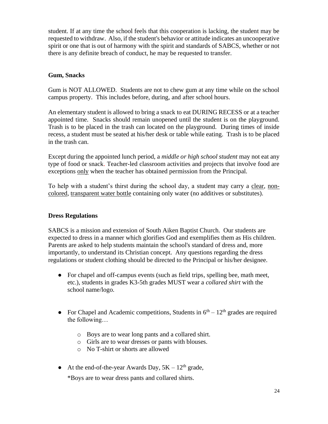student. If at any time the school feels that this cooperation is lacking, the student may be requested to withdraw. Also, if the student's behavior or attitude indicates an uncooperative spirit or one that is out of harmony with the spirit and standards of SABCS, whether or not there is any definite breach of conduct, he may be requested to transfer.

#### <span id="page-24-0"></span>**Gum, Snacks**

Gum is NOT ALLOWED. Students are not to chew gum at any time while on the school campus property. This includes before, during, and after school hours.

An elementary student is allowed to bring a snack to eat DURING RECESS or at a teacher appointed time. Snacks should remain unopened until the student is on the playground. Trash is to be placed in the trash can located on the playground. During times of inside recess, a student must be seated at his/her desk or table while eating. Trash is to be placed in the trash can.

Except during the appointed lunch period, a *middle or high school student* may not eat any type of food or snack. Teacher-led classroom activities and projects that involve food are exceptions only when the teacher has obtained permission from the Principal.

To help with a student's thirst during the school day, a student may carry a clear, noncolored, transparent water bottle containing only water (no additives or substitutes).

#### <span id="page-24-1"></span>**Dress Regulations**

SABCS is a mission and extension of South Aiken Baptist Church. Our students are expected to dress in a manner which glorifies God and exemplifies them as His children. Parents are asked to help students maintain the school's standard of dress and, more importantly, to understand its Christian concept. Any questions regarding the dress regulations or student clothing should be directed to the Principal or his/her designee.

- For chapel and off-campus events (such as field trips, spelling bee, math meet, etc.), students in grades K3-5th grades MUST wear a *collared shirt* with the school name/logo.
- For Chapel and Academic competitions, Students in  $6<sup>th</sup> 12<sup>th</sup>$  grades are required the following…
	- o Boys are to wear long pants and a collared shirt.
	- o Girls are to wear dresses or pants with blouses.
	- o No T-shirt or shorts are allowed
- At the end-of-the-year Awards Day,  $5K 12<sup>th</sup>$  grade,

\*Boys are to wear dress pants and collared shirts.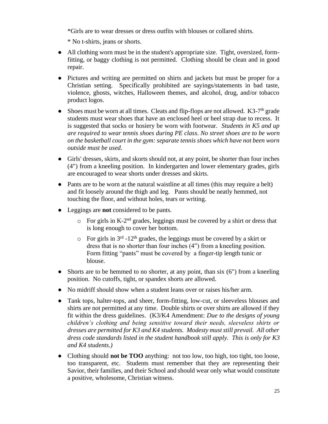\*Girls are to wear dresses or dress outfits with blouses or collared shirts.

\* No t-shirts, jeans or shorts.

- All clothing worn must be in the student's appropriate size. Tight, oversized, formfitting, or baggy clothing is not permitted. Clothing should be clean and in good repair.
- Pictures and writing are permitted on shirts and jackets but must be proper for a Christian setting. Specifically prohibited are sayings/statements in bad taste, violence, ghosts, witches, Halloween themes, and alcohol, drug, and/or tobacco product logos.
- Shoes must be worn at all times. Cleats and flip-flops are not allowed.  $K3-7<sup>th</sup>$  grade students must wear shoes that have an enclosed heel or heel strap due to recess. It is suggested that socks or hosiery be worn with footwear. *Students in K5 and up are required to wear tennis shoes during PE class. No street shoes are to be worn on the basketball court in the gym: separate tennis shoes which have not been worn outside must be used.*
- Girls' dresses, skirts, and skorts should not, at any point, be shorter than four inches (4") from a kneeling position. In kindergarten and lower elementary grades, girls are encouraged to wear shorts under dresses and skirts.
- Pants are to be worn at the natural waistline at all times (this may require a belt) and fit loosely around the thigh and leg. Pants should be neatly hemmed, not touching the floor, and without holes, tears or writing.
- Leggings are **not** considered to be pants.
	- $\circ$  For girls in K-2<sup>nd</sup> grades, leggings must be covered by a shirt or dress that is long enough to cover her bottom.
	- $\circ$  For girls in 3<sup>rd</sup> -12<sup>th</sup> grades, the leggings must be covered by a skirt or dress that is no shorter than four inches (4") from a kneeling position. Form fitting "pants" must be covered by a finger-tip length tunic or blouse.
- $\bullet$  Shorts are to be hemmed to no shorter, at any point, than six (6") from a kneeling position. No cutoffs, tight, or spandex shorts are allowed.
- No midriff should show when a student leans over or raises his/her arm.
- Tank tops, halter-tops, and sheer, form-fitting, low-cut, or sleeveless blouses and shirts are not permitted at any time. Double shirts or over shirts are allowed if they fit within the dress guidelines. (K3/K4 Amendment: *Due to the designs of young children's clothing and being sensitive toward their needs, sleeveless shirts or dresses are permitted for K3 and K4 students. Modesty must still prevail. All other dress code standards listed in the student handbook still apply. This is only for K3 and K4 students.)*
- Clothing should **not be TOO** anything: not too low, too high, too tight, too loose, too transparent, etc. Students must remember that they are representing their Savior, their families, and their School and should wear only what would constitute a positive, wholesome, Christian witness.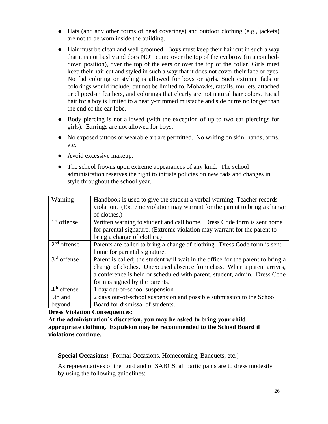- Hats (and any other forms of head coverings) and outdoor clothing (e.g., jackets) are not to be worn inside the building.
- Hair must be clean and well groomed. Boys must keep their hair cut in such a way that it is not bushy and does NOT come over the top of the eyebrow (in a combeddown position), over the top of the ears or over the top of the collar. Girls must keep their hair cut and styled in such a way that it does not cover their face or eyes. No fad coloring or styling is allowed for boys or girls. Such extreme fads or colorings would include, but not be limited to, Mohawks, rattails, mullets, attached or clipped-in feathers, and colorings that clearly are not natural hair colors. Facial hair for a boy is limited to a neatly-trimmed mustache and side burns no longer than the end of the ear lobe.
- Body piercing is not allowed (with the exception of up to two ear piercings for girls). Earrings are not allowed for boys.
- No exposed tattoos or wearable art are permitted. No writing on skin, hands, arms, etc.
- Avoid excessive makeup.
- The school frowns upon extreme appearances of any kind. The school administration reserves the right to initiate policies on new fads and changes in style throughout the school year.

| Warning       | Handbook is used to give the student a verbal warning. Teacher records          |
|---------------|---------------------------------------------------------------------------------|
|               | violation. (Extreme violation may warrant for the parent to bring a change      |
|               | of clothes.)                                                                    |
| $1st$ offense | Written warning to student and call home. Dress Code form is sent home          |
|               | for parental signature. (Extreme violation may warrant for the parent to        |
|               | bring a change of clothes.)                                                     |
| $2nd$ offense | Parents are called to bring a change of clothing. Dress Code form is sent       |
|               | home for parental signature.                                                    |
| $3rd$ offense | Parent is called; the student will wait in the office for the parent to bring a |
|               | change of clothes. Unexcused absence from class. When a parent arrives,         |
|               | a conference is held or scheduled with parent, student, admin. Dress Code       |
|               | form is signed by the parents.                                                  |
| $4th$ offense | 1 day out-of-school suspension                                                  |
| 5th and       | 2 days out-of-school suspension and possible submission to the School           |
| beyond        | Board for dismissal of students.                                                |

#### **Dress Violation Consequences:**

**At the administration's discretion, you may be asked to bring your child appropriate clothing. Expulsion may be recommended to the School Board if violations continue.**

**Special Occasions:** (Formal Occasions, Homecoming, Banquets, etc.)

As representatives of the Lord and of SABCS, all participants are to dress modestly by using the following guidelines: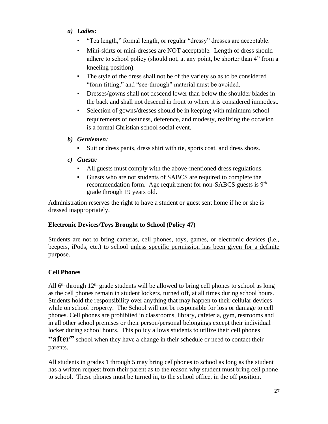- *a) Ladies:*
	- "Tea length," formal length, or regular "dressy" dresses are acceptable.
	- Mini-skirts or mini-dresses are NOT acceptable. Length of dress should adhere to school policy (should not, at any point, be shorter than 4" from a kneeling position).
	- The style of the dress shall not be of the variety so as to be considered "form fitting," and "see-through" material must be avoided.
	- **•** Dresses/gowns shall not descend lower than below the shoulder blades in the back and shall not descend in front to where it is considered immodest.
	- Selection of gowns/dresses should be in keeping with minimum school requirements of neatness, deference, and modesty, realizing the occasion is a formal Christian school social event.

# *b) Gentlemen:*

▪ Suit or dress pants, dress shirt with tie, sports coat, and dress shoes.

#### *c) Guests:*

- All guests must comply with the above-mentioned dress regulations.
- Guests who are not students of SABCS are required to complete the recommendation form. Age requirement for non-SABCS guests is 9<sup>th</sup> grade through 19 years old.

Administration reserves the right to have a student or guest sent home if he or she is dressed inappropriately.

# <span id="page-27-0"></span>**Electronic Devices/Toys Brought to School (Policy 47)**

Students are not to bring cameras, cell phones, toys, games, or electronic devices (i.e., beepers, iPods, etc.) to school unless specific permission has been given for a definite purpose.

# <span id="page-27-1"></span>**Cell Phones**

All  $6<sup>th</sup>$  through  $12<sup>th</sup>$  grade students will be allowed to bring cell phones to school as long as the cell phones remain in student lockers, turned off, at all times during school hours. Students hold the responsibility over anything that may happen to their cellular devices while on school property. The School will not be responsible for loss or damage to cell phones. Cell phones are prohibited in classrooms, library, cafeteria, gym, restrooms and in all other school premises or their person/personal belongings except their individual locker during school hours. This policy allows students to utilize their cell phones "after" school when they have a change in their schedule or need to contact their

parents.

All students in grades 1 through 5 may bring cellphones to school as long as the student has a written request from their parent as to the reason why student must bring cell phone to school. These phones must be turned in, to the school office, in the off position.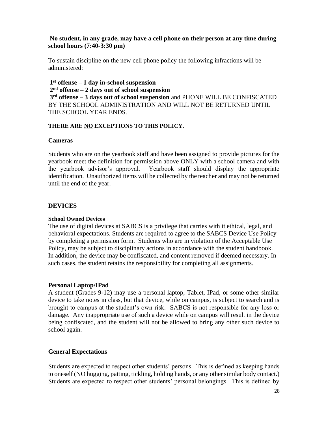#### **No student, in any grade, may have a cell phone on their person at any time during school hours (7:40-3:30 pm)**

To sustain discipline on the new cell phone policy the following infractions will be administered:

**1 st offense – 1 day in-school suspension 2 nd offense – 2 days out of school suspension 3 rd offense – 3 days out of school suspension** and PHONE WILL BE CONFISCATED BY THE SCHOOL ADMINISTRATION AND WILL NOT BE RETURNED UNTIL THE SCHOOL YEAR ENDS.

#### **THERE ARE NO EXCEPTIONS TO THIS POLICY**.

#### <span id="page-28-0"></span>**Cameras**

Students who are on the yearbook staff and have been assigned to provide pictures for the yearbook meet the definition for permission above ONLY with a school camera and with the yearbook advisor's approval. Yearbook staff should display the appropriate identification. Unauthorized items will be collected by the teacher and may not be returned until the end of the year.

#### <span id="page-28-1"></span>**DEVICES**

#### **School Owned Devices**

The use of digital devices at SABCS is a privilege that carries with it ethical, legal, and behavioral expectations. Students are required to agree to the SABCS Device Use Policy by completing a permission form. Students who are in violation of the Acceptable Use Policy, may be subject to disciplinary actions in accordance with the student handbook. In addition, the device may be confiscated, and content removed if deemed necessary. In such cases, the student retains the responsibility for completing all assignments.

#### **Personal Laptop/IPad**

A student (Grades 9-12) may use a personal laptop, Tablet, IPad, or some other similar device to take notes in class, but that device, while on campus, is subject to search and is brought to campus at the student's own risk. SABCS is not responsible for any loss or damage. Any inappropriate use of such a device while on campus will result in the device being confiscated, and the student will not be allowed to bring any other such device to school again.

#### <span id="page-28-2"></span>**General Expectations**

Students are expected to respect other students' persons. This is defined as keeping hands to oneself (NO hugging, patting, tickling, holding hands, or any other similar body contact.) Students are expected to respect other students' personal belongings. This is defined by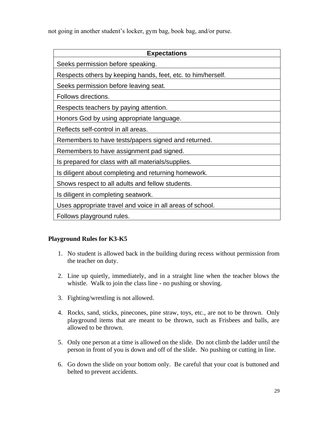not going in another student's locker, gym bag, book bag, and/or purse.

| <b>Expectations</b>                                          |  |
|--------------------------------------------------------------|--|
| Seeks permission before speaking.                            |  |
| Respects others by keeping hands, feet, etc. to him/herself. |  |
| Seeks permission before leaving seat.                        |  |
| Follows directions.                                          |  |
| Respects teachers by paying attention.                       |  |
| Honors God by using appropriate language.                    |  |
| Reflects self-control in all areas.                          |  |
| Remembers to have tests/papers signed and returned.          |  |
| Remembers to have assignment pad signed.                     |  |
| Is prepared for class with all materials/supplies.           |  |
| Is diligent about completing and returning homework.         |  |
| Shows respect to all adults and fellow students.             |  |
| Is diligent in completing seatwork.                          |  |
| Uses appropriate travel and voice in all areas of school.    |  |
| Follows playground rules.                                    |  |

#### <span id="page-29-0"></span>**Playground Rules for K3-K5**

- 1. No student is allowed back in the building during recess without permission from the teacher on duty.
- 2. Line up quietly, immediately, and in a straight line when the teacher blows the whistle. Walk to join the class line - no pushing or shoving.
- 3. Fighting/wrestling is not allowed.
- 4. Rocks, sand, sticks, pinecones, pine straw, toys, etc., are not to be thrown. Only playground items that are meant to be thrown, such as Frisbees and balls, are allowed to be thrown.
- 5. Only one person at a time is allowed on the slide. Do not climb the ladder until the person in front of you is down and off of the slide. No pushing or cutting in line.
- 6. Go down the slide on your bottom only. Be careful that your coat is buttoned and belted to prevent accidents.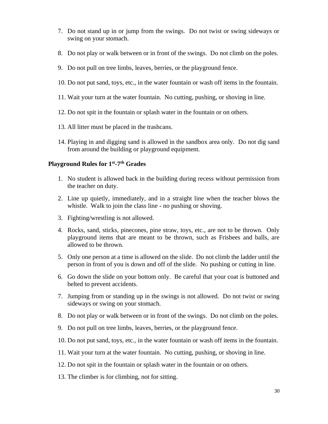- 7. Do not stand up in or jump from the swings. Do not twist or swing sideways or swing on your stomach.
- 8. Do not play or walk between or in front of the swings. Do not climb on the poles.
- 9. Do not pull on tree limbs, leaves, berries, or the playground fence.
- 10. Do not put sand, toys, etc., in the water fountain or wash off items in the fountain.
- 11. Wait your turn at the water fountain. No cutting, pushing, or shoving in line.
- 12. Do not spit in the fountain or splash water in the fountain or on others.
- 13. All litter must be placed in the trashcans.
- 14. Playing in and digging sand is allowed in the sandbox area only. Do not dig sand from around the building or playground equipment.

#### <span id="page-30-0"></span>**Playground Rules for 1st -7 th Grades**

- 1. No student is allowed back in the building during recess without permission from the teacher on duty.
- 2. Line up quietly, immediately, and in a straight line when the teacher blows the whistle. Walk to join the class line - no pushing or shoving.
- 3. Fighting/wrestling is not allowed.
- 4. Rocks, sand, sticks, pinecones, pine straw, toys, etc., are not to be thrown. Only playground items that are meant to be thrown, such as Frisbees and balls, are allowed to be thrown.
- 5. Only one person at a time is allowed on the slide. Do not climb the ladder until the person in front of you is down and off of the slide. No pushing or cutting in line.
- 6. Go down the slide on your bottom only. Be careful that your coat is buttoned and belted to prevent accidents.
- 7. Jumping from or standing up in the swings is not allowed. Do not twist or swing sideways or swing on your stomach.
- 8. Do not play or walk between or in front of the swings. Do not climb on the poles.
- 9. Do not pull on tree limbs, leaves, berries, or the playground fence.
- 10. Do not put sand, toys, etc., in the water fountain or wash off items in the fountain.
- 11. Wait your turn at the water fountain. No cutting, pushing, or shoving in line.
- 12. Do not spit in the fountain or splash water in the fountain or on others.
- 13. The climber is for climbing, not for sitting.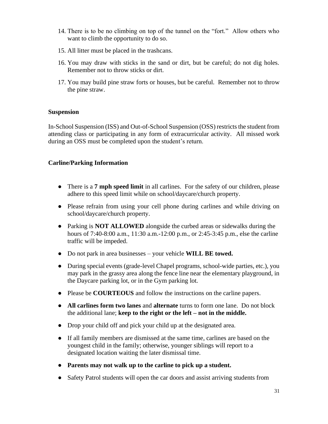- 14. There is to be no climbing on top of the tunnel on the "fort." Allow others who want to climb the opportunity to do so.
- 15. All litter must be placed in the trashcans.
- 16. You may draw with sticks in the sand or dirt, but be careful; do not dig holes. Remember not to throw sticks or dirt.
- 17. You may build pine straw forts or houses, but be careful. Remember not to throw the pine straw.

#### <span id="page-31-0"></span>**Suspension**

In-School Suspension (ISS) and Out-of-School Suspension (OSS) restricts the student from attending class or participating in any form of extracurricular activity. All missed work during an OSS must be completed upon the student's return.

#### <span id="page-31-1"></span>**Carline/Parking Information**

- There is a **7 mph speed limit** in all carlines. For the safety of our children, please adhere to this speed limit while on school/daycare/church property.
- Please refrain from using your cell phone during carlines and while driving on school/daycare/church property.
- Parking is **NOT ALLOWED** alongside the curbed areas or sidewalks during the hours of 7:40-8:00 a.m., 11:30 a.m.-12:00 p.m., or 2:45-3:45 p.m., else the carline traffic will be impeded.
- Do not park in area businesses your vehicle **WILL BE towed.**
- During special events (grade-level Chapel programs, school-wide parties, etc.), you may park in the grassy area along the fence line near the elementary playground, in the Daycare parking lot, or in the Gym parking lot.
- Please be **COURTEOUS** and follow the instructions on the carline papers.
- **All carlines form two lanes** and **alternate** turns to form one lane. Do not block the additional lane; **keep to the right or the left – not in the middle.**
- Drop your child off and pick your child up at the designated area.
- If all family members are dismissed at the same time, carlines are based on the youngest child in the family; otherwise, younger siblings will report to a designated location waiting the later dismissal time.
- **Parents may not walk up to the carline to pick up a student.**
- Safety Patrol students will open the car doors and assist arriving students from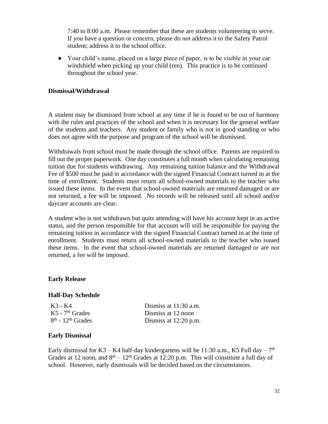7:40 to 8:00 a.m. Please remember that these are students volunteering to serve. If you have a question or concern, please do not address it to the Safety Patrol student; address it to the school office.

● Your child's name, placed on a large piece of paper, is to be visible in your car windshield when picking up your child (ren). This practice is to be continued throughout the school year.

#### <span id="page-32-0"></span>**Dismissal/Withdrawal**

A student may be dismissed from school at any time if he is found to be out of harmony with the rules and practices of the school and when it is necessary for the general welfare of the students and teachers. Any student or family who is not in good standing or who does not agree with the purpose and program of the school will be dismissed.

Withdrawals from school must be made through the school office. Parents are required to fill out the proper paperwork. One day constitutes a full month when calculating remaining tuition due for students withdrawing. Any remaining tuition balance and the Withdrawal Fee of \$500 must be paid in accordance with the signed Financial Contract turned in at the time of enrollment. Students must return all school-owned materials to the teacher who issued these items. In the event that school-owned materials are returned damaged or are not returned, a fee will be imposed. No records will be released until all school and/or daycare accounts are clear.

A student who is not withdrawn but quits attending will have his account kept in an active status, and the person responsible for that account will still be responsible for paying the remaining tuition in accordance with the signed Financial Contract turned in at the time of enrollment. Students must return all school-owned materials to the teacher who issued these items. In the event that school-owned materials are returned damaged or are not returned, a fee will be imposed.

#### <span id="page-32-1"></span>**Early Release**

#### <span id="page-32-2"></span>**Half-Day Schedule**

| K3 - K4                         | Dismiss at $11:30$ a.m. |
|---------------------------------|-------------------------|
| $K5 - 7th$ Grades               | Dismiss at 12 noon      |
| $8th$ - 12 <sup>th</sup> Grades | Dismiss at $12:20$ p.m. |

#### <span id="page-32-3"></span>**Early Dismissal**

Early dismissal for K3 – K4 half-day kindergartens will be 11:30 a.m., K5 Full day –  $7<sup>th</sup>$ Grades at 12 noon, and  $8<sup>th</sup> - 12<sup>th</sup>$  Grades at 12:20 p.m. This will constitute a full day of school. However, early dismissals will be decided based on the circumstances.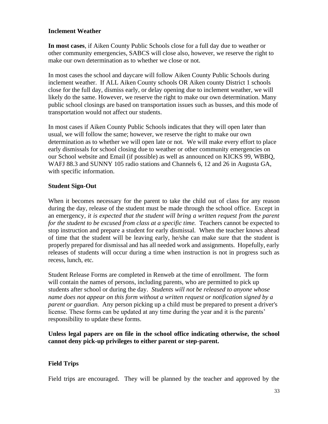#### <span id="page-33-0"></span>**Inclement Weather**

**In most cases**, if Aiken County Public Schools close for a full day due to weather or other community emergencies, SABCS will close also, however, we reserve the right to make our own determination as to whether we close or not.

In most cases the school and daycare will follow Aiken County Public Schools during inclement weather. If ALL Aiken County schools OR Aiken county District 1 schools close for the full day, dismiss early, or delay opening due to inclement weather, we will likely do the same. However, we reserve the right to make our own determination. Many public school closings are based on transportation issues such as busses, and this mode of transportation would not affect our students.

In most cases if Aiken County Public Schools indicates that they will open later than usual, we will follow the same; however, we reserve the right to make our own determination as to whether we will open late or not. We will make every effort to place early dismissals for school closing due to weather or other community emergencies on our School website and Email (if possible) as well as announced on KICKS 99, WBBQ, WAFJ 88.3 and SUNNY 105 radio stations and Channels 6, 12 and 26 in Augusta GA, with specific information.

#### <span id="page-33-1"></span>**Student Sign-Out**

When it becomes necessary for the parent to take the child out of class for any reason during the day, release of the student must be made through the school office. Except in an emergency*, it is expected that the student will bring a written request from the parent for the student to be excused from class at a specific time.* Teachers cannot be expected to stop instruction and prepare a student for early dismissal. When the teacher knows ahead of time that the student will be leaving early, he/she can make sure that the student is properly prepared for dismissal and has all needed work and assignments. Hopefully, early releases of students will occur during a time when instruction is not in progress such as recess, lunch, etc.

Student Release Forms are completed in Renweb at the time of enrollment. The form will contain the names of persons, including parents, who are permitted to pick up students after school or during the day. *Students will not be released to anyone whose name does not appear on this form without a written request or notification signed by a parent or guardian.* Any person picking up a child must be prepared to present a driver's license. These forms can be updated at any time during the year and it is the parents' responsibility to update these forms.

**Unless legal papers are on file in the school office indicating otherwise, the school cannot deny pick-up privileges to either parent or step-parent.**

#### <span id="page-33-2"></span>**Field Trips**

Field trips are encouraged. They will be planned by the teacher and approved by the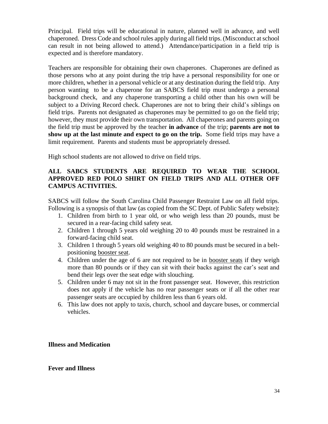Principal. Field trips will be educational in nature, planned well in advance, and well chaperoned. Dress Code and school rules apply during all field trips. (Misconduct at school can result in not being allowed to attend.) Attendance/participation in a field trip is expected and is therefore mandatory.

Teachers are responsible for obtaining their own chaperones. Chaperones are defined as those persons who at any point during the trip have a personal responsibility for one or more children, whether in a personal vehicle or at any destination during the field trip. Any person wanting to be a chaperone for an SABCS field trip must undergo a personal background check, and any chaperone transporting a child other than his own will be subject to a Driving Record check. Chaperones are not to bring their child's siblings on field trips. Parents not designated as chaperones may be permitted to go on the field trip; however, they must provide their own transportation. All chaperones and parents going on the field trip must be approved by the teacher **in advance** of the trip; **parents are not to show up at the last minute and expect to go on the trip.** Some field trips may have a limit requirement. Parents and students must be appropriately dressed.

High school students are not allowed to drive on field trips.

#### **ALL SABCS STUDENTS ARE REQUIRED TO WEAR THE SCHOOL APPROVED RED POLO SHIRT ON FIELD TRIPS AND ALL OTHER OFF CAMPUS ACTIVITIES.**

SABCS will follow the South Carolina Child Passenger Restraint Law on all field trips. Following is a synopsis of that law (as copied from the SC Dept. of Public Safety website):

- 1. Children from birth to 1 year old, or who weigh less than 20 pounds, must be secured in a rear-facing child safety seat.
- 2. Children 1 through 5 years old weighing 20 to 40 pounds must be restrained in a forward-facing child seat.
- 3. Children 1 through 5 years old weighing 40 to 80 pounds must be secured in a beltpositioning booster seat.
- 4. Children under the age of 6 are not required to be in booster seats if they weigh more than 80 pounds or if they can sit with their backs against the car's seat and bend their legs over the seat edge with slouching.
- 5. Children under 6 may not sit in the front passenger seat. However, this restriction does not apply if the vehicle has no rear passenger seats or if all the other rear passenger seats are occupied by children less than 6 years old.
- 6. This law does not apply to taxis, church, school and daycare buses, or commercial vehicles.

<span id="page-34-0"></span>**Illness and Medication**

<span id="page-34-1"></span>**Fever and Illness**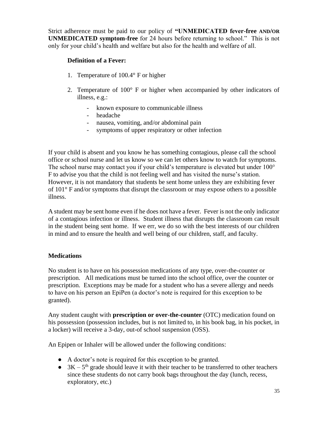Strict adherence must be paid to our policy of **"UNMEDICATED fever-free AND/OR UNMEDICATED symptom-free** for 24 hours before returning to school." This is not only for your child's health and welfare but also for the health and welfare of all.

### **Definition of a Fever:**

- 1. Temperature of 100.4° F or higher
- 2. Temperature of 100° F or higher when accompanied by other indicators of illness, e.g.:
	- known exposure to communicable illness
	- headache
	- nausea, vomiting, and/or abdominal pain
	- symptoms of upper respiratory or other infection

If your child is absent and you know he has something contagious, please call the school office or school nurse and let us know so we can let others know to watch for symptoms. The school nurse may contact you if your child's temperature is elevated but under 100<sup>°</sup> F to advise you that the child is not feeling well and has visited the nurse's station. However, it is not mandatory that students be sent home unless they are exhibiting fever of 101° F and/or symptoms that disrupt the classroom or may expose others to a possible illness.

A student may be sent home even if he does not have a fever. Fever is not the only indicator of a contagious infection or illness. Student illness that disrupts the classroom can result in the student being sent home. If we err, we do so with the best interests of our children in mind and to ensure the health and well being of our children, staff, and faculty.

#### <span id="page-35-0"></span>**Medications**

No student is to have on his possession medications of any type, over-the-counter or prescription. All medications must be turned into the school office, over the counter or prescription. Exceptions may be made for a student who has a severe allergy and needs to have on his person an EpiPen (a doctor's note is required for this exception to be granted).

Any student caught with **prescription or over-the-counter** (OTC) medication found on his possession (possession includes, but is not limited to, in his book bag, in his pocket, in a locker) will receive a 3-day, out-of school suspension (OSS).

An Epipen or Inhaler will be allowed under the following conditions:

- A doctor's note is required for this exception to be granted.
- $\bullet$  3K 5<sup>th</sup> grade should leave it with their teacher to be transferred to other teachers since these students do not carry book bags throughout the day (lunch, recess, exploratory, etc.)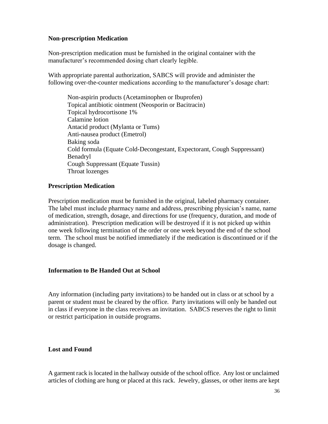#### <span id="page-36-0"></span>**Non-prescription Medication**

Non-prescription medication must be furnished in the original container with the manufacturer's recommended dosing chart clearly legible.

With appropriate parental authorization, SABCS will provide and administer the following over-the-counter medications according to the manufacturer's dosage chart:

Non-aspirin products (Acetaminophen or Ibuprofen) Topical antibiotic ointment (Neosporin or Bacitracin) Topical hydrocortisone 1% Calamine lotion Antacid product (Mylanta or Tums) Anti-nausea product (Emetrol) Baking soda Cold formula (Equate Cold-Decongestant, Expectorant, Cough Suppressant) Benadryl Cough Suppressant (Equate Tussin) Throat lozenges

#### **Prescription Medication**

Prescription medication must be furnished in the original, labeled pharmacy container. The label must include pharmacy name and address, prescribing physician's name, name of medication, strength, dosage, and directions for use (frequency, duration, and mode of administration). Prescription medication will be destroyed if it is not picked up within one week following termination of the order or one week beyond the end of the school term. The school must be notified immediately if the medication is discontinued or if the dosage is changed.

#### <span id="page-36-1"></span>**Information to Be Handed Out at School**

Any information (including party invitations) to be handed out in class or at school by a parent or student must be cleared by the office. Party invitations will only be handed out in class if everyone in the class receives an invitation. SABCS reserves the right to limit or restrict participation in outside programs.

#### <span id="page-36-2"></span>**Lost and Found**

A garment rack is located in the hallway outside of the school office. Any lost or unclaimed articles of clothing are hung or placed at this rack. Jewelry, glasses, or other items are kept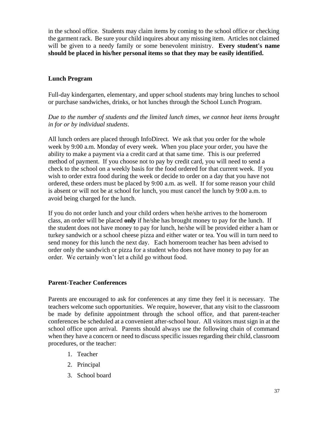in the school office. Students may claim items by coming to the school office or checking the garment rack. Be sure your child inquires about any missing item. Articles not claimed will be given to a needy family or some benevolent ministry. **Every student's name should be placed in his/her personal items so that they may be easily identified.**

#### <span id="page-37-0"></span>**Lunch Program**

Full-day kindergarten, elementary, and upper school students may bring lunches to school or purchase sandwiches, drinks, or hot lunches through the School Lunch Program.

*Due to the number of students and the limited lunch times, we cannot heat items brought in for or by individual students*.

All lunch orders are placed through InfoDirect. We ask that you order for the whole week by 9:00 a.m. Monday of every week. When you place your order, you have the ability to make a payment via a credit card at that same time. This is our preferred method of payment. If you choose not to pay by credit card, you will need to send a check to the school on a weekly basis for the food ordered for that current week. If you wish to order extra food during the week or decide to order on a day that you have not ordered, these orders must be placed by 9:00 a.m. as well. If for some reason your child is absent or will not be at school for lunch, you must cancel the lunch by 9:00 a.m. to avoid being charged for the lunch.

If you do not order lunch and your child orders when he/she arrives to the homeroom class, an order will be placed **only** if he/she has brought money to pay for the lunch. If the student does not have money to pay for lunch, he/she will be provided either a ham or turkey sandwich or a school cheese pizza and either water or tea. You will in turn need to send money for this lunch the next day. Each homeroom teacher has been advised to order only the sandwich or pizza for a student who does not have money to pay for an order. We certainly won't let a child go without food.

#### <span id="page-37-1"></span>**Parent-Teacher Conferences**

Parents are encouraged to ask for conferences at any time they feel it is necessary. The teachers welcome such opportunities. We require, however, that any visit to the classroom be made by definite appointment through the school office, and that parent-teacher conferences be scheduled at a convenient after-school hour. All visitors must sign in at the school office upon arrival. Parents should always use the following chain of command when they have a concern or need to discuss specific issues regarding their child, classroom procedures, or the teacher:

- 1. Teacher
- 2. Principal
- 3. School board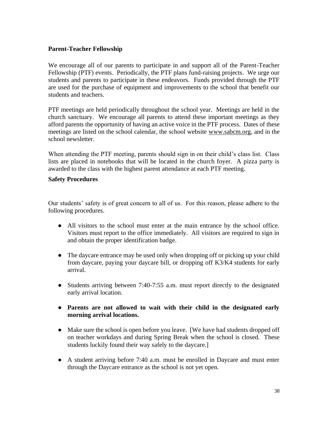#### <span id="page-38-0"></span>**Parent-Teacher Fellowship**

We encourage all of our parents to participate in and support all of the Parent-Teacher Fellowship (PTF) events. Periodically, the PTF plans fund-raising projects. We urge our students and parents to participate in these endeavors. Funds provided through the PTF are used for the purchase of equipment and improvements to the school that benefit our students and teachers.

PTF meetings are held periodically throughout the school year. Meetings are held in the church sanctuary. We encourage all parents to attend these important meetings as they afford parents the opportunity of having an active voice in the PTF process. Dates of these meetings are listed on the school calendar, the school website www.sabcm.org, and in the school newsletter.

When attending the PTF meeting, parents should sign in on their child's class list. Class lists are placed in notebooks that will be located in the church foyer. A pizza party is awarded to the class with the highest parent attendance at each PTF meeting.

#### <span id="page-38-1"></span>**Safety Procedures**

Our students' safety is of great concern to all of us. For this reason, please adhere to the following procedures.

- All visitors to the school must enter at the main entrance by the school office. Visitors must report to the office immediately. All visitors are required to sign in and obtain the proper identification badge.
- The daycare entrance may be used only when dropping off or picking up your child from daycare, paying your daycare bill, or dropping off K3/K4 students for early arrival.
- Students arriving between 7:40-7:55 a.m. must report directly to the designated early arrival location.
- **Parents are not allowed to wait with their child in the designated early morning arrival locations.**
- Make sure the school is open before you leave. [We have had students dropped off on teacher workdays and during Spring Break when the school is closed. These students luckily found their way safely to the daycare.]
- A student arriving before 7:40 a.m. must be enrolled in Daycare and must enter through the Daycare entrance as the school is not yet open.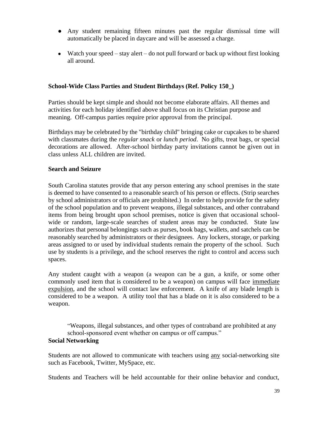- Any student remaining fifteen minutes past the regular dismissal time will automatically be placed in daycare and will be assessed a charge.
- Watch your speed stay alert do not pull forward or back up without first looking all around.

#### <span id="page-39-0"></span>**School-Wide Class Parties and Student Birthdays (Ref. Policy 150\_)**

Parties should be kept simple and should not become elaborate affairs. All themes and activities for each holiday identified above shall focus on its Christian purpose and meaning. Off-campus parties require prior approval from the principal.

Birthdays may be celebrated by the "birthday child" bringing cake or cupcakes to be shared with classmates during the *regular snack* or *lunch period*. No gifts, treat bags, or special decorations are allowed. After-school birthday party invitations cannot be given out in class unless ALL children are invited.

#### <span id="page-39-1"></span>**Search and Seizure**

South Carolina statutes provide that any person entering any school premises in the state is deemed to have consented to a reasonable search of his person or effects. (Strip searches by school administrators or officials are prohibited.) In order to help provide for the safety of the school population and to prevent weapons, illegal substances, and other contraband items from being brought upon school premises, notice is given that occasional schoolwide or random, large-scale searches of student areas may be conducted. State law authorizes that personal belongings such as purses, book bags, wallets, and satchels can be reasonably searched by administrators or their designees. Any lockers, storage, or parking areas assigned to or used by individual students remain the property of the school. Such use by students is a privilege, and the school reserves the right to control and access such spaces.

Any student caught with a weapon (a weapon can be a gun, a knife, or some other commonly used item that is considered to be a weapon) on campus will face immediate expulsion, and the school will contact law enforcement. A knife of any blade length is considered to be a weapon. A utility tool that has a blade on it is also considered to be a weapon.

<span id="page-39-2"></span>"Weapons, illegal substances, and other types of contraband are prohibited at any school-sponsored event whether on campus or off campus." **Social Networking**

Students are not allowed to communicate with teachers using any social-networking site such as Facebook, Twitter, MySpace, etc.

Students and Teachers will be held accountable for their online behavior and conduct,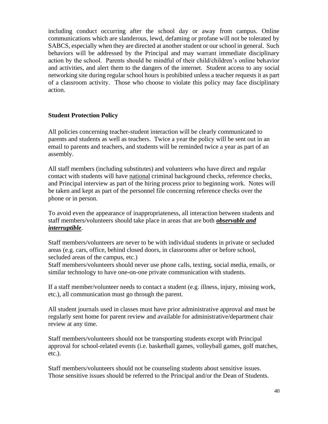including conduct occurring after the school day or away from campus. Online communications which are slanderous, lewd, defaming or profane will not be tolerated by SABCS, especially when they are directed at another student or our school in general. Such behaviors will be addressed by the Principal and may warrant immediate disciplinary action by the school. Parents should be mindful of their child/children's online behavior and activities, and alert them to the dangers of the internet. Student access to any social networking site during regular school hours is prohibited unless a teacher requests it as part of a classroom activity. Those who choose to violate this policy may face disciplinary action.

#### <span id="page-40-0"></span>**Student Protection Policy**

All policies concerning teacher-student interaction will be clearly communicated to parents and students as well as teachers. Twice a year the policy will be sent out in an email to parents and teachers, and students will be reminded twice a year as part of an assembly.

All staff members (including substitutes) and volunteers who have direct and regular contact with students will have national criminal background checks, reference checks, and Principal interview as part of the hiring process prior to beginning work. Notes will be taken and kept as part of the personnel file concerning reference checks over the phone or in person.

To avoid even the appearance of inappropriateness, all interaction between students and staff members/volunteers should take place in areas that are both *observable and interruptible*.

Staff members/volunteers are never to be with individual students in private or secluded areas (e.g. cars, office, behind closed doors, in classrooms after or before school, secluded areas of the campus, etc.)

Staff members/volunteers should never use phone calls, texting, social media, emails, or similar technology to have one-on-one private communication with students.

If a staff member/volunteer needs to contact a student (e.g. illness, injury, missing work, etc.), all communication must go through the parent.

All student journals used in classes must have prior administrative approval and must be regularly sent home for parent review and available for administrative/department chair review at any time.

Staff members/volunteers should not be transporting students except with Principal approval for school-related events (i.e. basketball games, volleyball games, golf matches, etc.).

Staff members/volunteers should not be counseling students about sensitive issues. Those sensitive issues should be referred to the Principal and/or the Dean of Students.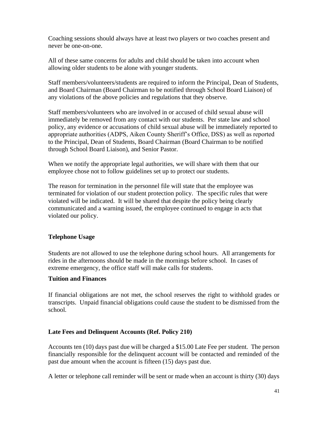Coaching sessions should always have at least two players or two coaches present and never be one-on-one.

All of these same concerns for adults and child should be taken into account when allowing older students to be alone with younger students.

Staff members/volunteers/students are required to inform the Principal, Dean of Students, and Board Chairman (Board Chairman to be notified through School Board Liaison) of any violations of the above policies and regulations that they observe.

Staff members/volunteers who are involved in or accused of child sexual abuse will immediately be removed from any contact with our students. Per state law and school policy, any evidence or accusations of child sexual abuse will be immediately reported to appropriate authorities (ADPS, Aiken County Sheriff's Office, DSS) as well as reported to the Principal, Dean of Students, Board Chairman (Board Chairman to be notified through School Board Liaison), and Senior Pastor.

When we notify the appropriate legal authorities, we will share with them that our employee chose not to follow guidelines set up to protect our students.

The reason for termination in the personnel file will state that the employee was terminated for violation of our student protection policy. The specific rules that were violated will be indicated. It will be shared that despite the policy being clearly communicated and a warning issued, the employee continued to engage in acts that violated our policy.

#### <span id="page-41-0"></span>**Telephone Usage**

Students are not allowed to use the telephone during school hours. All arrangements for rides in the afternoons should be made in the mornings before school. In cases of extreme emergency, the office staff will make calls for students.

#### <span id="page-41-1"></span>**Tuition and Finances**

If financial obligations are not met, the school reserves the right to withhold grades or transcripts. Unpaid financial obligations could cause the student to be dismissed from the school.

#### <span id="page-41-2"></span>**Late Fees and Delinquent Accounts (Ref. Policy 210)**

Accounts ten (10) days past due will be charged a \$15.00 Late Fee per student. The person financially responsible for the delinquent account will be contacted and reminded of the past due amount when the account is fifteen (15) days past due.

A letter or telephone call reminder will be sent or made when an account is thirty (30) days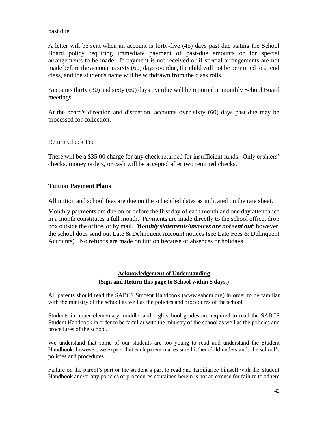past due.

A letter will be sent when an account is forty-five (45) days past due stating the School Board policy requiring immediate payment of past-due amounts or for special arrangements to be made. If payment is not received or if special arrangements are not made before the account is sixty (60) days overdue, the child will not be permitted to attend class, and the student's name will be withdrawn from the class rolls.

Accounts thirty (30) and sixty (60) days overdue will be reported at monthly School Board meetings.

At the board's direction and discretion, accounts over sixty (60) days past due may be processed for collection.

#### Return Check Fee

There will be a \$35.00 charge for any check returned for insufficient funds. Only cashiers' checks, money orders, or cash will be accepted after two returned checks.

#### <span id="page-42-0"></span>**Tuition Payment Plans**

All tuition and school fees are due on the scheduled dates as indicated on the rate sheet.

Monthly payments are due on or before the first day of each month and one day attendance in a month constitutes a full month. Payments are made directly to the school office, drop box outside the office, or by mail. *Monthly statements/invoices are not sent out*; however, the school does send out Late & Delinquent Account notices (see Late Fees & Delinquent Accounts). No refunds are made on tuition because of absences or holidays.

#### **Acknowledgement of Understanding (Sign and Return this page to School within 5 days.)**

All parents should read the SABCS Student Handbook [\(www.sabcm.org\)](http://www.sabcm.org/) in order to be familiar with the ministry of the school as well as the policies and procedures of the school.

Students in upper elementary, middle, and high school grades are required to read the SABCS Student Handbook in order to be familiar with the ministry of the school as well as the policies and procedures of the school.

We understand that some of our students are too young to read and understand the Student Handbook; however, we expect that each parent makes sure his/her child understands the school's policies and procedures.

Failure on the parent's part or the student's part to read and familiarize himself with the Student Handbook and/or any policies or procedures contained herein is not an excuse for failure to adhere